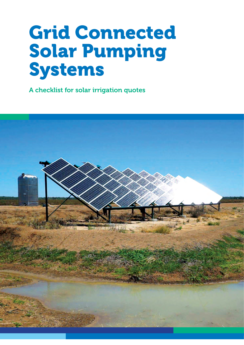# Grid Connected Solar Pumping Systems

A checklist for solar irrigation quotes

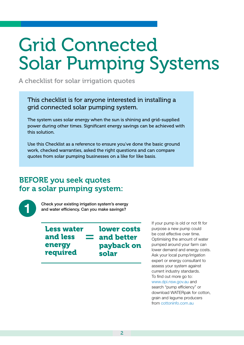# Grid Connected Solar Pumping Systems

A checklist for solar irrigation quotes

This checklist is for anyone interested in installing a grid connected solar pumping system.

The system uses solar energy when the sun is shining and grid-supplied power during other times. Significant energy savings can be achieved with this solution.

Use this Checklist as a reference to ensure you've done the basic ground work, checked warranties, asked the right questions and can compare quotes from solar pumping businesses on a like for like basis.

## BEFORE you seek quotes for a solar pumping system:



Check your existing irrigation system's energy and water efficiency. Can you make savings?

Less water and less energy required

lower costs and better payback on solar =

If your pump is old or not fit for purpose a new pump could be cost effective over time. Optimising the amount of water pumped around your farm can lower demand and energy costs. Ask your local pump/irrigation expert or energy consultant to assess your system against current industry standards. To find out more go to: www.dpi.nsw.gov.au and search "pump efficiency" or download WATERpak for cotton,

grain and legume producers from [cottoninfo.com.au](http://cottoninfo.com.au)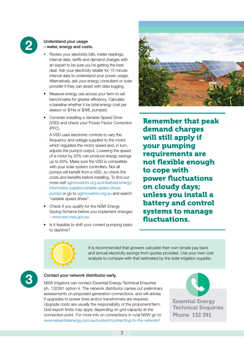

#### Understand your usage – water, energy and costs.

- Review your electricity bills, meter readings, interval data, tariffs and demand charges with an expert to be sure you're getting the best deal. Ask your electricity retailer for 15 minute interval data to understand your power usage. Alternatively, ask your energy consultant or solar provider if they can assist with data logging.
- Measure energy use across your farm to set benchmarks for greater efficiency. Calculate a baseline whether it be total energy cost per season or \$/Ha or \$/ML pumped.
- Consider installing a Variable Speed Drive (VSD) and check your Power Factor Correction (PFC).

A VSD uses electronic controls to vary the frequency and voltage supplied to the motor, which regulates the motor speed and, in turn, adjusts the pump's output. Lowering the speed of a motor by 20% can produce energy savings up to 50%. Make sure the VSD is compatible with your solar system controllers. Not all pumps will benefit from a VSD, so check the costs and benefits before installing. To find out more visit [aginnovators.org.au/initiatives/energy/](http://aginnovators.org.au/initiatives/energy/information-papers/variable-speed-drives-pumps) [information-papers/variable-speed-drives](http://aginnovators.org.au/initiatives/energy/information-papers/variable-speed-drives-pumps)[pumps](http://aginnovators.org.au/initiatives/energy/information-papers/variable-speed-drives-pumps) or go to [aginnovators.org.au](http://aginnovators.org.au) and search "variable speed drives".

- Check if you qualify for the NSW Energy Saving Scheme before you implement changes - [www.ess.nsw.gov.au](http://www.ess.nsw.gov.au)
- Is it feasible to shift your current pumping tasks to daytime?



Remember that peak demand charges will still apply if your pumping requirements are not flexible enough to cope with power fluctuations on cloudy days; unless you install a battery and control systems to manage fluctuations.



It is recommended that growers calculate their own simple pay back and annual electricity savings from quotes provided. Use your own cost analysis to compare with that estimated by the solar irrigation supplier.



**3** Contact your network distributor early.<br>
NSW irrigators can contact Essential Energy Technical Enquiries ph. 132391 option 4. The network distributor carries out preliminary assessments on proposed generation connections, and will advise if upgrades to power lines and/or transformers are required. Upgrade costs are usually the responsibility of the proponent/farm. Grid export limits may apply depending on grid capacity at the connection point. For more info on connections in rural NSW go to: [www.essentialenergy.com.au/content/connecting-to-the-network1](http://www.essentialenergy.com.au/content/connecting-to-the-network1) 



Essential Energy **Technical Enquiries** Phone 132 391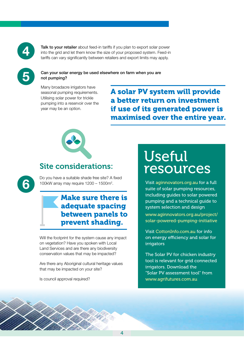

Talk to your retailer about feed-in tariffs if you plan to export solar power into the grid and let them know the size of your proposed system. Feed-in tariffs can vary significantly between retailers and export limits may apply.



6

#### Can your solar energy be used elsewhere on farm when you are not pumping?

Many broadacre irrigators have seasonal pumping requirements. Utilising solar power for trickle pumping into a reservoir over the year may be an option.

A solar PV system will provide a better return on investment if use of its generated power is maximised over the entire year.



## Site considerations:

Do you have a suitable shade free site? A fixed 100kW array may require 1200 – 1500m2 .

## Make sure there is adequate spacing between panels to prevent shading.

Will the footprint for the system cause any impact on vegetation? Have you spoken with Local Land Services and are there any biodiversity conservation values that may be impacted?

Are there any Aboriginal cultural heritage values that may be impacted on your site?

Is council approval required?

## Useful resources

Visit [aginnovators.org.au](http://aginnovators.org.au) for a full suite of solar pumping resources, including guides to solar powered pumping and a technical guide to system selection and design [www.aginnovators.org.au/project/](http://www.aginnovators.org.au/project/solar-powered-pumping-initiative) [solar-powered-pumping-initiative](http://www.aginnovators.org.au/project/solar-powered-pumping-initiative)

Visit [CottonInfo.com.au](http://CottonInfo.com.au) for info on energy efficiency and solar for irrigators

The Solar PV for chicken industry tool is relevant for grid connected irrigators. Download the "Solar PV assessment tool" from [www.agrifutures.com.au](http://www.agrifutures.com.au)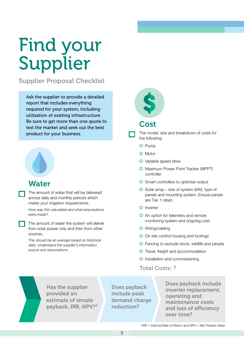# Find your Supplier

Supplier Proposal Checklist

Ask the supplier to provide a detailed report that includes everything required for your system, including utilisation of existing infrastructure. Be sure to get more than one quote to test the market and seek out the best product for your business.

## Water

The amount of water that will be delivered across daily and monthly periods which meets your irrigation requirements.

*How was this calculated and what assumptions were made?*

The amount of water the system will deliver from solar power only and then from other sources.

*This should be an average based on historical data. Understand the supplier's information source and assumptions.*



## Cost

- The model, size and breakdown of costs for the following:
	- o Pump
	- o Motor
	- o Variable speed drive
	- o Maximum Power Point Tracker (MPPT) controller
	- o Smart controllers to optimise output
	- $\bullet$  Solar array size of system (kW), type of panels and mounting system. Ensure panels are Tier 1 rated.
	- o Inverter
	- **O** An option for telemetry and remote monitoring system and ongoing cost.
	- o Wiring/cabling
	- **O** On site control housing and footings
	- o Fencing to exclude stock, wildlife and people
	- o Travel, freight and accommodation
	- o Installation and commissioning
	- Total Costs: ?



Has the supplier provided an estimate of simple payback, IRR, NPV?\*

Does payback include peak demand charge reduction?

Does payback include inverter replacement, operating and maintenance costs and loss of efficiency over time?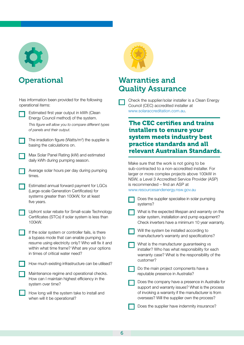

## **Operational**

| Has information been provided for the following<br>operational items:                                                                                                                                                                                                                                                    | Check the supplier/solar installer is a Clean Energy<br>Council (CEC) accredited installer at<br>www.solaraccreditation.com.au.<br><b>The CEC certifies and trains</b><br>installers to ensure your<br>system meets industry best<br>practice standards and all<br>relevant Australian Standards.<br>Make sure that the work is not going to be<br>sub-contracted to a non-accredited installer. For<br>larger or more complex projects above 100kW in<br>NSW, a Level 3 Accredited Service Provider (ASP)<br>is recommended - find an ASP at |
|--------------------------------------------------------------------------------------------------------------------------------------------------------------------------------------------------------------------------------------------------------------------------------------------------------------------------|-----------------------------------------------------------------------------------------------------------------------------------------------------------------------------------------------------------------------------------------------------------------------------------------------------------------------------------------------------------------------------------------------------------------------------------------------------------------------------------------------------------------------------------------------|
| Estimated first year output in kWh (Clean<br>Energy Council method) of the system.<br>This figure will allow you to compare different types<br>of panels and their output.<br>The irradiation figure (Watts/m <sup>2</sup> ) the supplier is<br>basing the calculations on.<br>Max Solar Panel Rating (kW) and estimated |                                                                                                                                                                                                                                                                                                                                                                                                                                                                                                                                               |
| daily kWh during pumping season.<br>Average solar hours per day during pumping<br>times.<br>Estimated annual forward payment for LGCs                                                                                                                                                                                    |                                                                                                                                                                                                                                                                                                                                                                                                                                                                                                                                               |
| (Large-scale Generation Certificates) for<br>systems greater than 100kW, for at least<br>five years.                                                                                                                                                                                                                     | www.resourcesandenergy.nsw.gov.au<br>Does the supplier specialise in solar pumping<br>systems?                                                                                                                                                                                                                                                                                                                                                                                                                                                |
| Upfront solar rebate for Small-scale Technology<br>Certificates (STCs) if solar system is less than<br>100kW.                                                                                                                                                                                                            | What is the expected lifespan and warranty on the<br>solar system, installation and pump equipment?<br>Check inverters have a minimum 10 year warranty.                                                                                                                                                                                                                                                                                                                                                                                       |
| If the solar system or controller fails, is there<br>a bypass mode that can enable pumping to<br>resume using electricity only? Who will fix it and<br>within what time frame? What are your options<br>in times of critical water need?                                                                                 | Will the system be installed according to<br>manufacturer's warranty and specifications?<br>What is the manufacturer guaranteeing vs<br>installer? Who has what responsibility for each<br>warranty case? What is the responsibility of the<br>customer?                                                                                                                                                                                                                                                                                      |
| How much existing infrastructure can be utilised?<br>Maintenance regime and operational checks.<br>How can I maintain highest efficiency in the<br>system over time?                                                                                                                                                     | Do the main project components have a<br>reputable presence in Australia?<br>Does the company have a presence in Australia for                                                                                                                                                                                                                                                                                                                                                                                                                |
| How long will the system take to install and<br>when will it be operational?                                                                                                                                                                                                                                             | support and warranty issues? What is the process<br>of invoking a warranty if the manufacturer is from<br>overseas? Will the supplier own the process?<br>Does the supplier have indemnity insurance?                                                                                                                                                                                                                                                                                                                                         |

## Warranties and Quality Assurance

# relevant Australian Standards.

6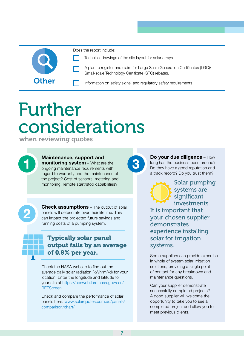

Does the report include:

Technical drawings of the site layout for solar arrays



Other **Information on safety signs, and regulatory safety requirements** 

# Further considerations

when reviewing quotes



2

#### Maintenance, support and monitoring system – What are the ongoing maintenance requirements with ongoing maintenance requirements with regard to warranty and the maintenance of the project? Cost of sensors, metering and monitoring, remote start/stop capabilities?

**Check assumptions** – The output of solar panels will deteriorate over their lifetime. This can impact the projected future savings and running costs of a pumping system.

## Typically solar panel output falls by an average of 0.8% per year.

Check the NASA website to find out the average daily solar radiation (kWh/m<sup>2</sup>/d) for your location. Enter the longitude and latitude for your site at [https://eosweb.larc.nasa.gov/sse/](https://eosweb.larc.nasa.gov/sse/RETScreen) [RETScreen](https://eosweb.larc.nasa.gov/sse/RETScreen).

Check and compare the performance of solar panels here: [www.solarquotes.com.au/panels/](http://www.solarquotes.com.au/panels/comparison/chart/) [comparison/chart/](http://www.solarquotes.com.au/panels/comparison/chart/)

Do your due diligence - How long has the business been around? Do they have a good reputation and a track record? Do you trust them?

Solar pumping systems are significant investments. It is important that your chosen supplier demonstrates experience installing solar for irrigation systems.

Some suppliers can provide expertise in whole of system solar irrigation solutions, providing a single point of contact for any breakdown and maintenance questions.

Can your supplier demonstrate successfully completed projects? A good supplier will welcome the opportunity to take you to see a completed project and allow you to meet previous clients.